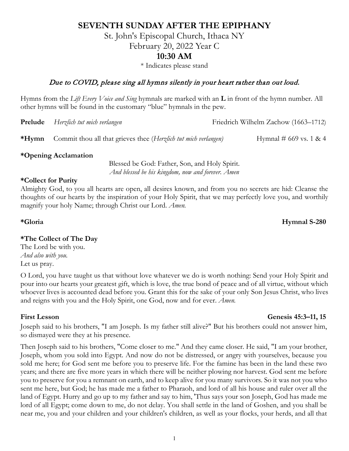# **SEVENTH SUNDAY AFTER THE EPIPHANY**

St. John's Episcopal Church, Ithaca NY

February 20, 2022 Year C

# **10:30 AM**

\* Indicates please stand

# Due to COVID, please sing all hymns silently in your heart rather than out loud.

Hymns from the *Lift Every Voice and Sing* hymnals are marked with an **L** in front of the hymn number. All other hymns will be found in the customary "blue" hymnals in the pew.

| <b>Prelude</b> Herzlich tut mich verlangen                            | Friedrich Wilhelm Zachow (1663–1712) |
|-----------------------------------------------------------------------|--------------------------------------|
| *Hymn Commit thou all that grieves thee (Herzlich tut mich verlangen) | Hymnal # 669 vs. 1 & 4               |

## **\*Opening Acclamation**

Blessed be God: Father, Son, and Holy Spirit. *And blessed be his kingdom, now and forever. Amen*

## **\*Collect for Purity**

Almighty God, to you all hearts are open, all desires known, and from you no secrets are hid: Cleanse the thoughts of our hearts by the inspiration of your Holy Spirit, that we may perfectly love you, and worthily magnify your holy Name; through Christ our Lord. *Amen.*

**\*Gloria Hymnal S-280**

## **\*The Collect of The Day**

The Lord be with you. *And also with you.* Let us pray.

O Lord, you have taught us that without love whatever we do is worth nothing: Send your Holy Spirit and pour into our hearts your greatest gift, which is love, the true bond of peace and of all virtue, without which whoever lives is accounted dead before you. Grant this for the sake of your only Son Jesus Christ, who lives and reigns with you and the Holy Spirit, one God, now and for ever. *Amen.*

Joseph said to his brothers, "I am Joseph. Is my father still alive?" But his brothers could not answer him, so dismayed were they at his presence.

Then Joseph said to his brothers, "Come closer to me." And they came closer. He said, "I am your brother, Joseph, whom you sold into Egypt. And now do not be distressed, or angry with yourselves, because you sold me here; for God sent me before you to preserve life. For the famine has been in the land these two years; and there are five more years in which there will be neither plowing nor harvest. God sent me before you to preserve for you a remnant on earth, and to keep alive for you many survivors. So it was not you who sent me here, but God; he has made me a father to Pharaoh, and lord of all his house and ruler over all the land of Egypt. Hurry and go up to my father and say to him, 'Thus says your son Joseph, God has made me lord of all Egypt; come down to me, do not delay. You shall settle in the land of Goshen, and you shall be near me, you and your children and your children's children, as well as your flocks, your herds, and all that

## **First Lesson Genesis 45:3–11, 15**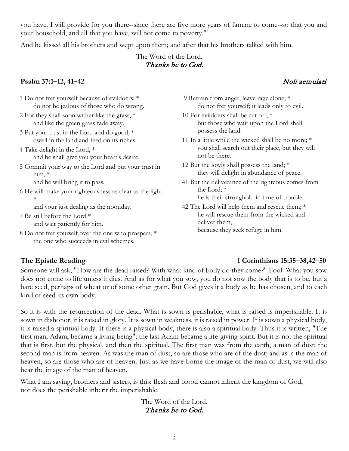you have. I will provide for you there--since there are five more years of famine to come--so that you and your household, and all that you have, will not come to poverty.'"

And he kissed all his brothers and wept upon them; and after that his brothers talked with him.

## The Word of the Lord. Thanks be to God.

## Psalm 37:1–12, 41–42 Noli aemulari

- 1 Do not fret yourself because of evildoers; \* do not be jealous of those who do wrong.
- 2 For they shall soon wither like the grass, \* and like the green grass fade away.
- 3 Put your trust in the Lord and do good; \* dwell in the land and feed on its riches.
- 4 Take delight in the Lord, \* and he shall give you your heart's desire.
- 5 Commit your way to the Lord and put your trust in him, \*
	- and he will bring it to pass.
- 6 He will make your righteousness as clear as the light \*

and your just dealing as the noonday.

- 7 Be still before the Lord \* and wait patiently for him.
- 8 Do not fret yourself over the one who prospers, \* the one who succeeds in evil schemes.
- 9 Refrain from anger, leave rage alone; \* do not fret yourself; it leads only to evil.
- 10 For evildoers shall be cut off, \* but those who wait upon the Lord shall possess the land.
- 11 In a little while the wicked shall be no more; \* you shall search out their place, but they will not be there.
- 12 But the lowly shall possess the land; \* they will delight in abundance of peace.
- 41 But the deliverance of the righteous comes from the Lord; \* he is their stronghold in time of trouble.
- 42 The Lord will help them and rescue them; \* he will rescue them from the wicked and deliver them, because they seek refuge in him.

## **The Epistle Reading 1 Corinthians 15:35–38,42–50**

Someone will ask, "How are the dead raised? With what kind of body do they come?" Fool! What you sow does not come to life unless it dies. And as for what you sow, you do not sow the body that is to be, but a bare seed, perhaps of wheat or of some other grain. But God gives it a body as he has chosen, and to each kind of seed its own body.

So it is with the resurrection of the dead. What is sown is perishable, what is raised is imperishable. It is sown in dishonor, it is raised in glory. It is sown in weakness, it is raised in power. It is sown a physical body, it is raised a spiritual body. If there is a physical body, there is also a spiritual body. Thus it is written, "The first man, Adam, became a living being"; the last Adam became a life-giving spirit. But it is not the spiritual that is first, but the physical, and then the spiritual. The first man was from the earth, a man of dust; the second man is from heaven. As was the man of dust, so are those who are of the dust; and as is the man of heaven, so are those who are of heaven. Just as we have borne the image of the man of dust, we will also bear the image of the man of heaven.

What I am saying, brothers and sisters, is this: flesh and blood cannot inherit the kingdom of God, nor does the perishable inherit the imperishable.

> The Word of the Lord. Thanks be to God.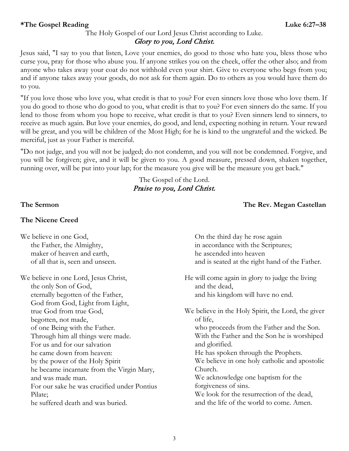## The Holy Gospel of our Lord Jesus Christ according to Luke.

Glory to you, Lord Christ.

Jesus said, "I say to you that listen, Love your enemies, do good to those who hate you, bless those who curse you, pray for those who abuse you. If anyone strikes you on the cheek, offer the other also; and from anyone who takes away your coat do not withhold even your shirt. Give to everyone who begs from you; and if anyone takes away your goods, do not ask for them again. Do to others as you would have them do to you.

"If you love those who love you, what credit is that to you? For even sinners love those who love them. If you do good to those who do good to you, what credit is that to you? For even sinners do the same. If you lend to those from whom you hope to receive, what credit is that to you? Even sinners lend to sinners, to receive as much again. But love your enemies, do good, and lend, expecting nothing in return. Your reward will be great, and you will be children of the Most High; for he is kind to the ungrateful and the wicked. Be merciful, just as your Father is merciful.

"Do not judge, and you will not be judged; do not condemn, and you will not be condemned. Forgive, and you will be forgiven; give, and it will be given to you. A good measure, pressed down, shaken together, running over, will be put into your lap; for the measure you give will be the measure you get back."

## The Gospel of the Lord. Praise to you, Lord Christ.

## **The Sermon The Rev. Megan Castellan**

### **The Nicene Creed**

We believe in one God, the Father, the Almighty, maker of heaven and earth, of all that is, seen and unseen. We believe in one Lord, Jesus Christ, the only Son of God, eternally begotten of the Father, God from God, Light from Light, true God from true God, begotten, not made, of one Being with the Father. Through him all things were made. For us and for our salvation he came down from heaven: by the power of the Holy Spirit he became incarnate from the Virgin Mary, and was made man. For our sake he was crucified under Pontius Pilate; he suffered death and was buried.

On the third day he rose again in accordance with the Scriptures; he ascended into heaven and is seated at the right hand of the Father.

He will come again in glory to judge the living and the dead, and his kingdom will have no end.

We believe in the Holy Spirit, the Lord, the giver of life, who proceeds from the Father and the Son. With the Father and the Son he is worshiped and glorified. He has spoken through the Prophets. We believe in one holy catholic and apostolic Church. We acknowledge one baptism for the

forgiveness of sins. We look for the resurrection of the dead,

and the life of the world to come. Amen.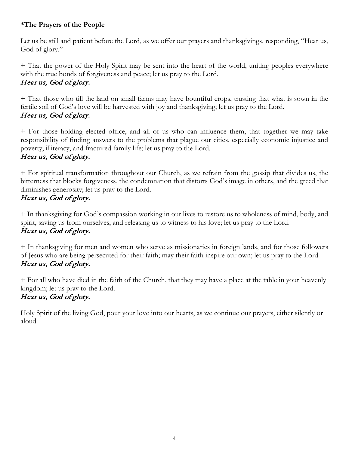## **\*The Prayers of the People**

Let us be still and patient before the Lord, as we offer our prayers and thanksgivings, responding, "Hear us, God of glory."

+ That the power of the Holy Spirit may be sent into the heart of the world, uniting peoples everywhere with the true bonds of forgiveness and peace; let us pray to the Lord.

## Hear us, God of glory.

+ That those who till the land on small farms may have bountiful crops, trusting that what is sown in the fertile soil of God's love will be harvested with joy and thanksgiving; let us pray to the Lord. Hear us, God of glory.

+ For those holding elected office, and all of us who can influence them, that together we may take responsibility of finding answers to the problems that plague our cities, especially economic injustice and poverty, illiteracy, and fractured family life; let us pray to the Lord.

## Hear us, God of glory.

+ For spiritual transformation throughout our Church, as we refrain from the gossip that divides us, the bitterness that blocks forgiveness, the condemnation that distorts God's image in others, and the greed that diminishes generosity; let us pray to the Lord.

## Hear us, God of glory.

+ In thanksgiving for God's compassion working in our lives to restore us to wholeness of mind, body, and spirit, saving us from ourselves, and releasing us to witness to his love; let us pray to the Lord. Hear us, God of glory.

+ In thanksgiving for men and women who serve as missionaries in foreign lands, and for those followers of Jesus who are being persecuted for their faith; may their faith inspire our own; let us pray to the Lord. Hear us, God of glory.

+ For all who have died in the faith of the Church, that they may have a place at the table in your heavenly kingdom; let us pray to the Lord.

## Hear us, God of glory.

Holy Spirit of the living God, pour your love into our hearts, as we continue our prayers, either silently or aloud.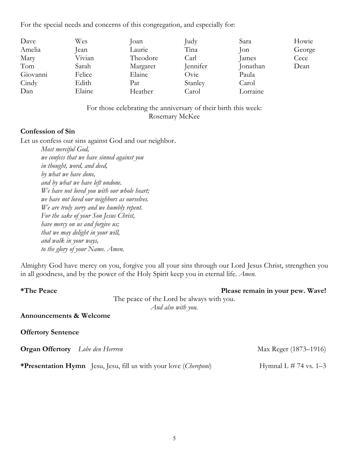For the special needs and concerns of this congregation, and especially for:

| Dave     | Wes    | Joan     | Judy     | Sara        | Howie  |
|----------|--------|----------|----------|-------------|--------|
| Amelia   | lean   | Laurie   | Tina     | $\lceil$ on | George |
| Mary     | Vivian | Theodore | Carl     | James       | Cece   |
| Tom      | Sarah  | Margaret | Jennifer | Jonathan    | Dean   |
| Giovanni | Felice | Elaine   | Ovie     | Paula       |        |
| Cindy    | Edith  | Pat      | Stanley  | Carol       |        |
| Dan      | Elaine | Heather  | Carol    | Lorraine    |        |

### For those celebrating the anniversary of their birth this week: Rosemary McKee

#### **Confession of Sin**

Let us confess our sins against God and our neighbor.

*Most merciful God, we confess that we have sinned against you in thought, word, and deed, by what we have done, and by what we have left undone. We have not loved you with our whole heart; we have not loved our neighbors as ourselves. We are truly sorry and we humbly repent. For the sake of your Son Jesus Christ, have mercy on us and forgive us; that we may delight in your will, and walk in your ways, to the glory of your Name. Amen.*

Almighty God have mercy on you, forgive you all your sins through our Lord Jesus Christ, strengthen you in all goodness, and by the power of the Holy Spirit keep you in eternal life. *Amen.*

| <i>*The Peace</i>                                                 | Please remain in your pew. Wave! |
|-------------------------------------------------------------------|----------------------------------|
| The peace of the Lord be always with you.                         |                                  |
| And also with you.                                                |                                  |
| <b>Announcements &amp; Welcome</b>                                |                                  |
|                                                                   |                                  |
| <b>Offertory Sentence</b>                                         |                                  |
|                                                                   |                                  |
| <b>Organ Offertory</b> Lobe den Herrren                           | Max Reger (1873–1916)            |
| *Presentation Hymn Jesu, Jesu, fill us with your love (Cherepont) | Hymnal L $\#$ 74 vs. 1–3         |
|                                                                   |                                  |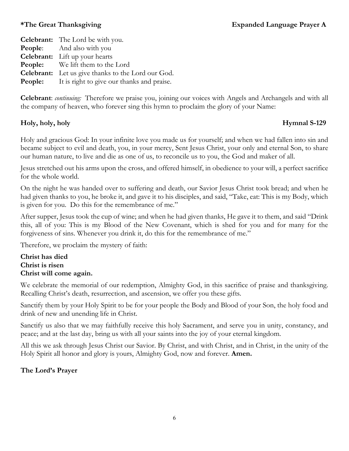| <b>Celebrant:</b> The Lord be with you.                   |
|-----------------------------------------------------------|
| <b>People:</b> And also with you                          |
| <b>Celebrant:</b> Lift up your hearts                     |
| <b>People:</b> We lift them to the Lord                   |
| <b>Celebrant:</b> Let us give thanks to the Lord our God. |
| <b>People:</b> It is right to give our thanks and praise. |

**Celebrant**: *continuing:* Therefore we praise you, joining our voices with Angels and Archangels and with all the company of heaven, who forever sing this hymn to proclaim the glory of your Name:

## **Holy, holy, holy Hymnal S-129**

Holy and gracious God: In your infinite love you made us for yourself; and when we had fallen into sin and became subject to evil and death, you, in your mercy, Sent Jesus Christ, your only and eternal Son, to share our human nature, to live and die as one of us, to reconcile us to you, the God and maker of all.

Jesus stretched out his arms upon the cross, and offered himself, in obedience to your will, a perfect sacrifice for the whole world.

On the night he was handed over to suffering and death, our Savior Jesus Christ took bread; and when he had given thanks to you, he broke it, and gave it to his disciples, and said, "Take, eat: This is my Body, which is given for you. Do this for the remembrance of me."

After supper, Jesus took the cup of wine; and when he had given thanks, He gave it to them, and said "Drink this, all of you: This is my Blood of the New Covenant, which is shed for you and for many for the forgiveness of sins. Whenever you drink it, do this for the remembrance of me."

Therefore, we proclaim the mystery of faith:

### **Christ has died Christ is risen Christ will come again.**

We celebrate the memorial of our redemption, Almighty God, in this sacrifice of praise and thanksgiving. Recalling Christ's death, resurrection, and ascension, we offer you these gifts.

Sanctify them by your Holy Spirit to be for your people the Body and Blood of your Son, the holy food and drink of new and unending life in Christ.

Sanctify us also that we may faithfully receive this holy Sacrament, and serve you in unity, constancy, and peace; and at the last day, bring us with all your saints into the joy of your eternal kingdom.

All this we ask through Jesus Christ our Savior. By Christ, and with Christ, and in Christ, in the unity of the Holy Spirit all honor and glory is yours, Almighty God, now and forever. **Amen.**

## **The Lord's Prayer**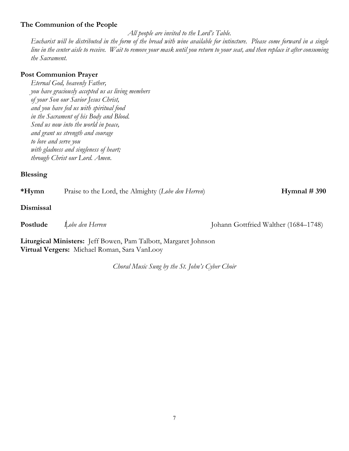#### **The Communion of the People**

*All people are invited to the Lord's Table.*

*Eucharist will be distributed in the form of the bread with wine available for intincture. Please come forward in a single line in the center aisle to receive. Wait to remove your mask until you return to your seat, and then replace it after consuming the Sacrament.* 

### **Post Communion Prayer**

*Eternal God, heavenly Father, you have graciously accepted us as living members of your Son our Savior Jesus Christ, and you have fed us with spiritual food in the Sacrament of his Body and Blood. Send us now into the world in peace, and grant us strength and courage to love and serve you with gladness and singleness of heart; through Christ our Lord. Amen*.

### **Blessing**

| $*Hymn$                                                                                                         | Praise to the Lord, the Almighty (Lobe den Herren) | Hymnal $\#$ 390                      |  |  |
|-----------------------------------------------------------------------------------------------------------------|----------------------------------------------------|--------------------------------------|--|--|
| Dismissal                                                                                                       |                                                    |                                      |  |  |
| Postlude                                                                                                        | Lobe den Herren                                    | Johann Gottfried Walther (1684–1748) |  |  |
| Liturgical Ministers: Jeff Bowen, Pam Talbott, Margaret Johnson<br>Virtual Vergers: Michael Roman, Sara VanLooy |                                                    |                                      |  |  |

*Choral Music Sung by the St. John's Cyber Choir*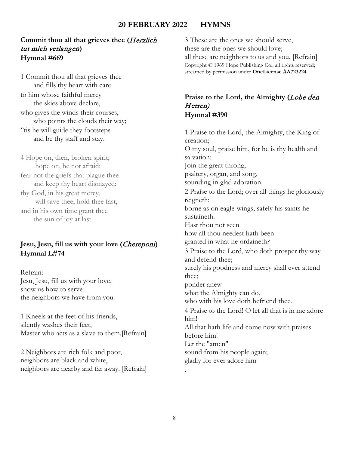#### **20 FEBRUARY 2022 HYMNS**

#### **Commit thou all that grieves thee (**Herzlich tut mich verlangen**) Hymnal #669**

1 Commit thou all that grieves thee and fills thy heart with care to him whose faithful mercy the skies above declare, who gives the winds their courses, who points the clouds their way; "tis he will guide they footsteps and be thy staff and stay.

4 Hope on, then, broken spirit; hope on, be not afraid: fear not the griefs that plague thee and keep thy heart dismayed: thy God, in his great mercy, will save thee, hold thee fast, and in his own time grant thee the sun of joy at last.

### **Jesu, Jesu, fill us with your love (**Chereponi**) Hymnal L#74**

Refrain: Jesu, Jesu, fill us with your love, show us how to serve the neighbors we have from you.

1 Kneels at the feet of his friends, silently washes their feet, Master who acts as a slave to them.[Refrain]

2 Neighbors are rich folk and poor, neighbors are black and white, neighbors are nearby and far away. [Refrain]

3 These are the ones we should serve, these are the ones we should love; all these are neighbors to us and you. [Refrain] Copyright © 1969 Hope Publishing Co., all rights reserved; streamed by permission under **OneLicense #A723224**

#### **Praise to the Lord, the Almighty (**Lobe den Herren) **Hymnal #390**

1 Praise to the Lord, the Almighty, the King of creation; O my soul, praise him, for he is thy health and salvation: Join the great throng, psaltery, organ, and song, sounding in glad adoration. 2 Praise to the Lord; over all things he gloriously reigneth: borne as on eagle-wings, safely his saints he sustaineth. Hast thou not seen how all thou needest hath been granted in what he ordaineth? 3 Praise to the Lord, who doth prosper thy way and defend thee; surely his goodness and mercy shall ever attend thee; ponder anew what the Almighty can do, who with his love doth befriend thee. 4 Praise to the Lord! O let all that is in me adore him! All that hath life and come now with praises before him! Let the "amen" sound from his people again; gladly for ever adore him

.